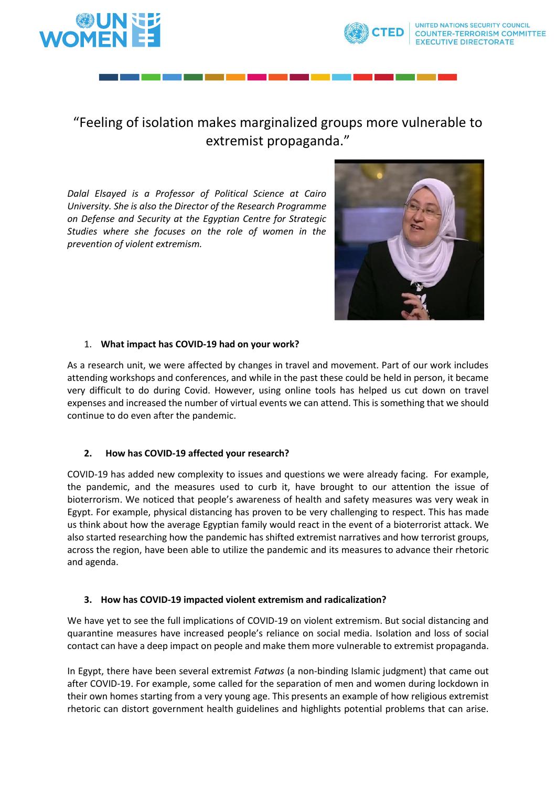

# "Feeling of isolation makes marginalized groups more vulnerable to extremist propaganda."

*Dalal Elsayed is a Professor of Political Science at Cairo University. She is also the Director of the Research Programme on Defense and Security at the Egyptian Centre for Strategic Studies where she focuses on the role of women in the prevention of violent extremism.*



### 1. **What impact has COVID-19 had on your work?**

As a research unit, we were affected by changes in travel and movement. Part of our work includes attending workshops and conferences, and while in the past these could be held in person, it became very difficult to do during Covid. However, using online tools has helped us cut down on travel expenses and increased the number of virtual events we can attend. This is something that we should continue to do even after the pandemic.

## **2. How has COVID-19 affected your research?**

COVID-19 has added new complexity to issues and questions we were already facing. For example, the pandemic, and the measures used to curb it, have brought to our attention the issue of bioterrorism. We noticed that people's awareness of health and safety measures was very weak in Egypt. For example, physical distancing has proven to be very challenging to respect. This has made us think about how the average Egyptian family would react in the event of a bioterrorist attack. We also started researching how the pandemic has shifted extremist narratives and how terrorist groups, across the region, have been able to utilize the pandemic and its measures to advance their rhetoric and agenda.

#### **3. How has COVID-19 impacted violent extremism and radicalization?**

We have yet to see the full implications of COVID-19 on violent extremism. But social distancing and quarantine measures have increased people's reliance on social media. Isolation and loss of social contact can have a deep impact on people and make them more vulnerable to extremist propaganda.

In Egypt, there have been several extremist *Fatwas* (a non-binding Islamic judgment) that came out after COVID-19. For example, some called for the separation of men and women during lockdown in their own homes starting from a very young age. This presents an example of how religious extremist rhetoric can distort government health guidelines and highlights potential problems that can arise.